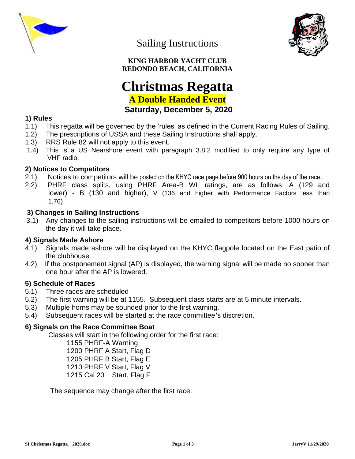

Sailing Instructions



**KING HARBOR YACHT CLUB REDONDO BEACH, CALIFORNIA**

# **Christmas Regatta A Double Handed Event Saturday, December 5, 2020**

# **1) Rules**

- 1.1) This regatta will be governed by the 'rules' as defined in the Current Racing Rules of Sailing.
- 1.2) The prescriptions of USSA and these Sailing Instructions shall apply.
- 1.3) RRS Rule 82 will not apply to this event.
- 1.4) This is a US Nearshore event with paragraph 3.8.2 modified to only require any type of VHF radio.

## **2) Notices to Competitors**

- 2.1) Notices to competitors will be posted on the KHYC race page before 900 hours on the day of the race..
- 2.2) PHRF class splits, using PHRF Area-B WL ratings, are as follows: A (129 and lower) - B (130 and higher), V (136 and higher with Performance Factors less than 1.76)

## .**3) Changes in Sailing Instructions**

 3.1) Any changes to the sailing instructions will be emailed to competitors before 1000 hours on the day it will take place.

## **4) Signals Made Ashore**

- 4.1) Signals made ashore will be displayed on the KHYC flagpole located on the East patio of the clubhouse.
- 4.2) If the postponement signal (AP) is displayed**,** the warning signal will be made no sooner than one hour after the AP is lowered.

## **5) Schedule of Races**

- 5.1) Three races are scheduled
- 5.2) The first warning will be at 1155. Subsequent class starts are at 5 minute intervals.
- 5.3) Multiple horns may be sounded prior to the first warning.
- 5.4) Subsequent races will be started at the race committee**'**s discretion.

## **6) Signals on the Race Committee Boat**

Classes will start in the following order for the first race:

1155 PHRF-A Warning 1200 PHRF A Start, Flag D 1205 PHRF B Start, Flag E 1210 PHRF V Start, Flag V 1215 Cal 20 Start, Flag F

The sequence may change after the first race.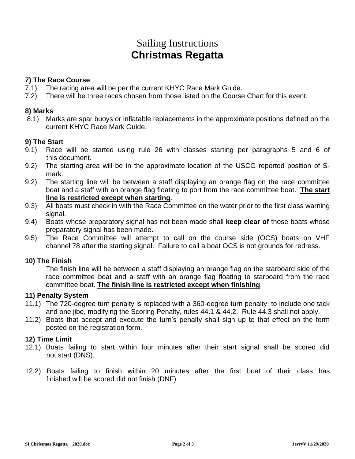# Sailing Instructions **Christmas Regatta**

## **7) The Race Course**

- 7.1) The racing area will be per the current KHYC Race Mark Guide.
- 7.2) There will be three races chosen from those listed on the Course Chart for this event.

## **8) Marks**

8.1) Marks are spar buoys or inflatable replacements in the approximate positions defined on the current KHYC Race Mark Guide.

## **9) The Start**

- 9.1) Race will be started using rule 26 with classes starting per paragraphs 5 and 6 of this document.
- 9.2) The starting area will be in the approximate location of the USCG reported position of Smark.
- 9.2) The starting line will be between a staff displaying an orange flag on the race committee boat and a staff with an orange flag floating to port from the race committee boat. **The start line is restricted except when starting**.
- 9.3) All boats must check in with the Race Committee on the water prior to the first class warning signal.
- 9.4) Boats whose preparatory signal has not been made shall **keep clear of** those boats whose preparatory signal has been made.
- 9.5) The Race Committee will attempt to call on the course side (OCS) boats on VHF channel 78 after the starting signal. Failure to call a boat OCS is not grounds for redress.

# **10) The Finish**

The finish line will be between a staff displaying an orange flag on the starboard side of the race committee boat and a staff with an orange flag floating to starboard from the race committee boat. **The finish line is restricted except when finishing**.

## **11) Penalty System**

- 11.1) The 720-degree turn penalty is replaced with a 360-degree turn penalty, to include one tack and one jibe, modifying the Scoring Penalty, rules 44.1 & 44.2. Rule 44.3 shall not apply.
- 11.2) Boats that accept and execute the turn's penalty shall sign up to that effect on the form posted on the registration form.

## **12) Time Limit**

- 12.1) Boats failing to start within four minutes after their start signal shall be scored did not start (DNS).
- 12.2) Boats failing to finish within 20 minutes after the first boat of their class has finished will be scored did not finish (DNF)